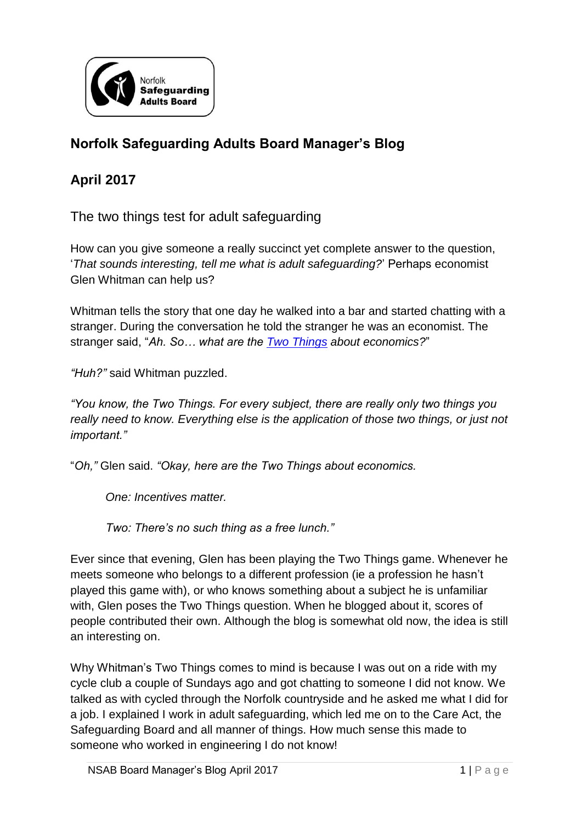

## **Norfolk Safeguarding Adults Board Manager's Blog**

## **April 2017**

The two things test for adult safeguarding

How can you give someone a really succinct yet complete answer to the question, '*That sounds interesting, tell me what is adult safeguarding?*' Perhaps economist Glen Whitman can help us?

Whitman tells the story that one day he walked into a bar and started chatting with a stranger. During the conversation he told the stranger he was an economist. The stranger said, "*Ah. So… what are the [Two Things](https://www.theguardian.com/lifeandstyle/2012/feb/24/two-things-to-know-oliver-burkeman) about economics?*"

*"Huh?"* said Whitman puzzled.

*"You know, the Two Things. For every subject, there are really only two things you really need to know. Everything else is the application of those two things, or just not important."* 

"*Oh,"* Glen said. *"Okay, here are the Two Things about economics.* 

*One: Incentives matter.* 

*Two: There's no such thing as a free lunch."* 

Ever since that evening, Glen has been playing the Two Things game. Whenever he meets someone who belongs to a different profession (ie a profession he hasn't played this game with), or who knows something about a subject he is unfamiliar with, Glen poses the Two Things question. When he blogged about it, scores of people contributed their own. Although the blog is somewhat old now, the idea is still an interesting on.

Why Whitman's Two Things comes to mind is because I was out on a ride with my cycle club a couple of Sundays ago and got chatting to someone I did not know. We talked as with cycled through the Norfolk countryside and he asked me what I did for a job. I explained I work in adult safeguarding, which led me on to the Care Act, the Safeguarding Board and all manner of things. How much sense this made to someone who worked in engineering I do not know!